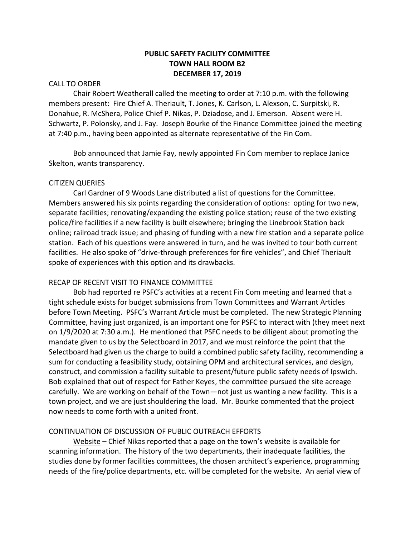# **PUBLIC SAFETY FACILITY COMMITTEE TOWN HALL ROOM B2 DECEMBER 17, 2019**

### CALL TO ORDER

Chair Robert Weatherall called the meeting to order at 7:10 p.m. with the following members present: Fire Chief A. Theriault, T. Jones, K. Carlson, L. Alexson, C. Surpitski, R. Donahue, R. McShera, Police Chief P. Nikas, P. Dziadose, and J. Emerson. Absent were H. Schwartz, P. Polonsky, and J. Fay. Joseph Bourke of the Finance Committee joined the meeting at 7:40 p.m., having been appointed as alternate representative of the Fin Com.

Bob announced that Jamie Fay, newly appointed Fin Com member to replace Janice Skelton, wants transparency.

#### CITIZEN QUERIES

Carl Gardner of 9 Woods Lane distributed a list of questions for the Committee. Members answered his six points regarding the consideration of options: opting for two new, separate facilities; renovating/expanding the existing police station; reuse of the two existing police/fire facilities if a new facility is built elsewhere; bringing the Linebrook Station back online; railroad track issue; and phasing of funding with a new fire station and a separate police station. Each of his questions were answered in turn, and he was invited to tour both current facilities. He also spoke of "drive-through preferences for fire vehicles", and Chief Theriault spoke of experiences with this option and its drawbacks.

#### RECAP OF RECENT VISIT TO FINANCE COMMITTEE

Bob had reported re PSFC's activities at a recent Fin Com meeting and learned that a tight schedule exists for budget submissions from Town Committees and Warrant Articles before Town Meeting. PSFC's Warrant Article must be completed. The new Strategic Planning Committee, having just organized, is an important one for PSFC to interact with (they meet next on 1/9/2020 at 7:30 a.m.). He mentioned that PSFC needs to be diligent about promoting the mandate given to us by the Selectboard in 2017, and we must reinforce the point that the Selectboard had given us the charge to build a combined public safety facility, recommending a sum for conducting a feasibility study, obtaining OPM and architectural services, and design, construct, and commission a facility suitable to present/future public safety needs of Ipswich. Bob explained that out of respect for Father Keyes, the committee pursued the site acreage carefully. We are working on behalf of the Town—not just us wanting a new facility. This is a town project, and we are just shouldering the load. Mr. Bourke commented that the project now needs to come forth with a united front.

#### CONTINUATION OF DISCUSSION OF PUBLIC OUTREACH EFFORTS

Website – Chief Nikas reported that a page on the town's website is available for scanning information. The history of the two departments, their inadequate facilities, the studies done by former facilities committees, the chosen architect's experience, programming needs of the fire/police departments, etc. will be completed for the website. An aerial view of